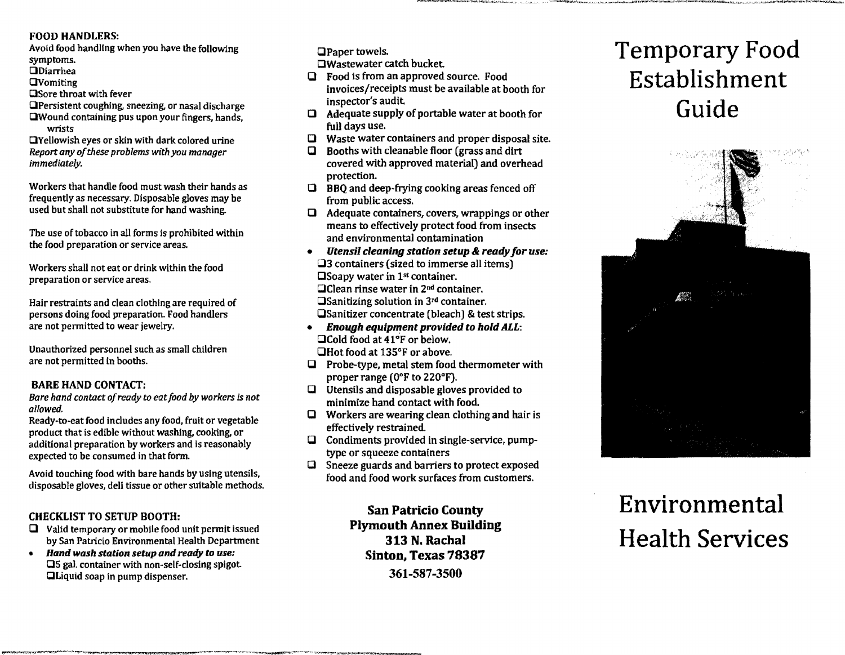#### FOOD HANDLERS:

Avoid food handling when you have the following symptoms.  $\Box$ Diarrhea **QVomiting** 

DSore throat with fever

DPersistent coughing. sneezing. or nasal discharge (JWound containing pus upon your fingers. hands, wrists

DYellowish eyes or skin with dark colored urine *Report any of these problems with you manager immediately.* 

Workers that handle food must wash their hands as frequently as necessary. Disposable gloves may be used but shall not substitute for hand washing.

The use of tobacco in all forms is prohibited within the food preparation or service areas.

Workers shall not eat or drink within the food preparation or service areas.

Hair restraints and dean clothing are required of persons doing food preparation. Food handlers are not permitted to wear jewelry.

Unauthorized personnel such as small children are not permitted in booths.

#### BARE HAND CONTACT:

*Bare hand contact ofready* to *eatfood by workers is not allowed.* 

Ready-to-eat food includes any food, fruit or vegetable product that is edible without washing, cooking, or additional preparation by workers and is reasonably expected to be consumed in that form.

Avoid touching food with bare hands by using utensils, disposable gloves, deli tissue or other suitable methods.

#### CHECKLIST TO SETUP BOOTH:

 $\Box$  Valid temporary or mobile food unit permit issued by San Patricio Environmental Health Department

~"~1I"""I,1"'Ij"'':'lII:',~\_~.H.''''',,,,,,,,,\_~,~~,~~~\_''''''"''''\_~'''''''''"''''''"~4''''' ...,,--~''·'''\_''''~W~"''''''''''''I''''T''''''''1Ir:<1''\_-''\t'WJ!\!~

*• Hand wash station setup and ready* to *use:*  (JS gal container with non-self-closing spigot DLiquid soap in pump dispenser.

(JPaper towels.

DWastewater catch bucket

- $\Box$  Food is from an approved source. Food invoices/receipts must be available at booth for inspector's audit
- $\Box$  Adequate supply of portable water at booth for full days use.
- $\Box$  Waste water containers and proper disposal site.<br> $\Box$  Booths with cleanable floor (grass and dirt
- Booths with cleanable floor (grass and dirt covered with approved material) and overhead protection.
- $\Box$  BBQ and deep-frying cooking areas fenced off from public access.
- $\Box$  Adequate containers, covers, wrappings or other means to effectively protect food from insects and environmental contamination
- **Utensil cleaning station setup & ready for use:**  $\square$ 3 containers (sized to immerse all items)  $\square$  Soapy water in 1<sup>st</sup> container. **QClean rinse water in 2<sup>nd</sup> container.** OSanitizing solution in 3rd container. OSanitizer concentrate (bleach) & test strips.
- $\bullet$  Enough equipment provided to hold ALL: □Cold food at 41°F or below. OHot food at 135°F or above.
- $\Box$  Probe-type, metal stem food thermometer with proper range (O°F to 220°F).
- $\Box$  Utensils and disposable gloves provided to minimize hand contact with food.
- $\Box$  Workers are wearing clean clothing and hair is effectively restrained.
- $\Box$  Condiments provided in single-service, pumptype or squeeze containers
- $\Box$  Sneeze guards and barriers to protect exposed food and food work surfaces from customers.

San Patricio County Plymouth Annex Building 313 N. Rachal Sinton, Texas 78387 361-587-3500

# Temporary Food Establishment Guide

-""""""\_~"'''''''\_\_''';~J.'''0:,"""",,,,,,,,:,;..,"~,,,.,,•• ,."""-~.;.tJ.v",,,,,,,~~,",\_,,-w. *\_\_*,,,,:,\_"~"''''''''',,,",'*\_\_*,,\*,4''''''''''"(~"'''''~~\_~~1''''''''\_~~''"'"''''>,.~~j;,,'1ofii.4'V,~";,.;~.



# Environmental Health Services